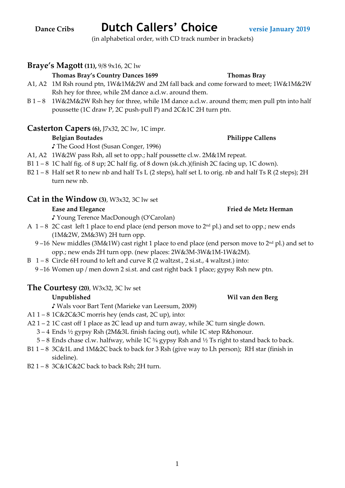### 1

(in alphabetical order, with CD track number in brackets)

# **Braye's Magott (11),** 9/8 9x16, 2C lw

### **Thomas Bray's Country Dances 1699 Thomas Bray**

- A1, A2 1M Rsh round ptn, 1W&1M&2W and 2M fall back and come forward to meet; 1W&1M&2W Rsh hey for three, while 2M dance a.cl.w. around them.
- B 1 8 1W&2M&2W Rsh hey for three, while 1M dance a.cl.w. around them; men pull ptn into half poussette (1C draw P, 2C push-pull P) and 2C&1C 2H turn ptn.

## **Casterton Capers (6),** J7x32, 2C lw, 1C impr.

## **Belgian Boutades Philippe Callens**

♪ The Good Host (Susan Conger, 1996)

- A1, A2 1W&2W pass Rsh, all set to opp.; half poussette cl.w. 2M&1M repeat.
- B1 1 8 1C half fig. of 8 up; 2C half fig. of 8 down (sk.ch.)(finish 2C facing up, 1C down).
- B2 1 8 Half set R to new nb and half Ts L (2 steps), half set L to orig. nb and half Ts R (2 steps); 2H turn new nb.

## **Cat in the Window (3)**, W3x32, 3C lw set

### Ease and Elegance **Fried de Metz Herman**

♪ Young Terence MacDonough (O'Carolan)

- A  $1-8$  2C cast left 1 place to end place (end person move to  $2<sup>nd</sup>$  pl.) and set to opp.; new ends (1M&2W, 2M&3W) 2H turn opp.
	- 9-16 New middles (3M&1W) cast right 1 place to end place (end person move to 2<sup>nd</sup> pl.) and set to opp.; new ends 2H turn opp. (new places: 2W&3M-3W&1M-1W&2M).
- B 1 8 Circle 6H round to left and curve R (2 waltzst., 2 si.st., 4 waltzst.) into:
	- 9 –16 Women up / men down 2 si.st. and cast right back 1 place; gypsy Rsh new ptn.

## **The Courtesy (20)**, W3x32, 3C lw set

## **Unpublished Wil van den Berg**

♪ Wals voor Bart Tent (Marieke van Leersum, 2009)

- A1  $1 8$  1C&2C&3C morris hey (ends cast, 2C up), into:
- A2 1 2 1C cast off 1 place as 2C lead up and turn away, while 3C turn single down.
	- 3 4 Ends ½ gypsy Rsh (2M&3L finish facing out), while 1C step R&honour.
	- $5 8$  Ends chase cl.w. halfway, while 1C  $\frac{3}{4}$  gypsy Rsh and  $\frac{1}{2}$  Ts right to stand back to back.
- B1 1 8 3C&1L and 1M&2C back to back for 3 Rsh (give way to Lh person); RH star (finish in sideline).
- B2 1 8 3C&1C&2C back to back Rsh; 2H turn.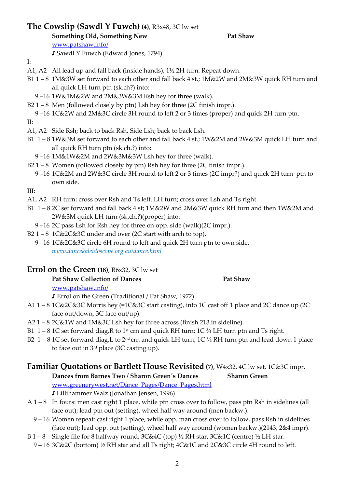# **The Cowslip (Sawdl Y Fuwch) (4)**, R3x48, 3C lw set

♪ Sawdl Y Fuwch (Edward Jones, 1794)

**Something Old, Something New Pat Shaw Pat Shaw** 

www.patshaw.info/

- I:
- A1, A2 All lead up and fall back (inside hands); 1½ 2H turn. Repeat down.
- B1 1 8 1M&3W set forward to each other and fall back 4 st.; 1M&2W and 2M&3W quick RH turn and all quick LH turn ptn (sk.ch?) into:
	- 9 –16 1W&1M&2W and 2M&3W&3M Rsh hey for three (walk).
- B2 1 8 Men (followed closely by ptn) Lsh hey for three (2C finish impr.).

9 –16 1C&2W and 2M&3C circle 3H round to left 2 or 3 times (proper) and quick 2H turn ptn.

- II:
- A1, A2 Side Rsh; back to back Rsh. Side Lsh; back to back Lsh.
- B1 1 8 1W&3M set forward to each other and fall back 4 st.; 1W&2M and 2W&3M quick LH turn and all quick RH turn ptn (sk.ch.?) into:
	- 9 –16 1M&1W&2M and 2W&3M&3W Lsh hey for three (walk).
- B2 1 8 Women (followed closely by ptn) Rsh hey for three (2C finish impr.).
- 9 –16 1C&2M and 2W&3C circle 3H round to left 2 or 3 times (2C impr?) and quick 2H turn ptn to own side.

III:

- A1, A2 RH turn; cross over Rsh and Ts left. LH turn; cross over Lsh and Ts right.
- B1 1 8 2C set forward and fall back 4 st; 1M&2W and 2M&3W quick RH turn and then 1W&2M and 2W&3M quick LH turn (sk.ch.?)(proper) into:
	- 9 –16 2C pass Lsh for Rsh hey for three on opp. side (walk)(2C impr.).
- B2 1 8 1C&2C&3C under and over (2C start with arch to top).
	- 9 –16 1C&2C&3C circle 6H round to left and quick 2H turn ptn to own side. *www.dancekaleidoscope.org.au/dance.html*

# **Errol on the Green (18)**, R6x32, 3C lw set

## Pat Shaw Collection of Dances Pat Shaw

www.patshaw.info/

♪ Errol on the Green (Traditional / Pat Shaw, 1972)

- A1 1 8 1C&2C&3C Morris hey (=1C&3C start casting), into 1C cast off 1 place and 2C dance up (2C face out/down, 3C face out/up).
- A2 1 8 2C&1W and 1M&3C Lsh hey for three across (finish 213 in sideline).
- B1 1 8 1C set forward diag.R to 1<sup>st</sup> crn and quick RH turn; 1C  $\frac{3}{4}$  LH turn ptn and Ts right.
- B2 1 8 1C set forward diag.L to  $2^{nd}$  crn and quick LH turn; 1C  $\frac{3}{4}$  RH turn ptn and lead down 1 place to face out in 3rd place (3C casting up).

# **Familiar Quotations or Bartlett House Revisited (7)**, W4x32, 4C lw set, 1C&3C impr.

- **Dances from Barnes Two / Sharon Green´s Dances Sharon Green**  www.greenerywest.net/Dance\_Pages/Dance\_Pages.html ♪ Lillihammer Walz (Jonathan Jensen, 1996)
- A 1 8 In fours: men cast right 1 place, while ptn cross over to follow, pass ptn Rsh in sidelines (all face out); lead ptn out (setting), wheel half way around (men backw.).
	- 9 16 Women repeat: cast right 1 place, while opp. man cross over to follow, pass Rsh in sidelines (face out); lead opp. out (setting), wheel half way around (women backw.)(2143, 2&4 impr).
- B 1 8 Single file for 8 halfway round;  $3C&4C$  (top)  $\frac{1}{2}$  RH star,  $3C&1C$  (centre)  $\frac{1}{2}$  LH star.
- 9 16 3C&2C (bottom) ½ RH star and all Ts right; 4C&1C and 2C&3C circle 4H round to left.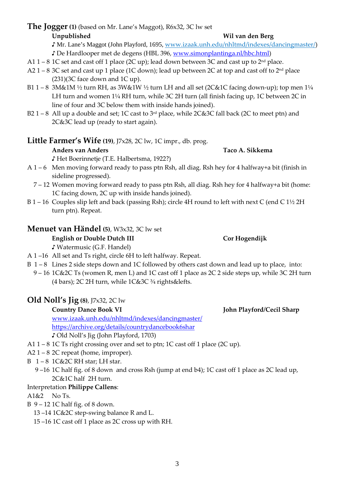## **The Jogger (1)** (based on Mr. Lane's Maggot), R6x32, 3C lw set **Unpublished Wil van den Berg**

♪ Mr. Lane's Maggot (John Playford, 1695, www.izaak.unh.edu/nhltmd/indexes/dancingmaster/)

- ♪ De Hardlooper met de degens (HBL 396, www.simonplantinga.nl/hbc.html)
- A1 1 8 1C set and cast off 1 place (2C up); lead down between 3C and cast up to  $2<sup>nd</sup>$  place.
- A2 1 8 3C set and cast up 1 place (1C down); lead up between 2C at top and cast off to  $2<sup>nd</sup>$  place  $(231)(3C$  face down and  $1C$  up).
- B1 1 8 3M&1M 1/2 turn RH, as 3W&1W 1/2 turn LH and all set (2C&1C facing down-up); top men 11/4 LH turn and women 1¼ RH turn, while 3C 2H turn (all finish facing up, 1C between 2C in line of four and 3C below them with inside hands joined).
- B2 1 8 All up a double and set; 1C cast to  $3<sup>rd</sup>$  place, while 2C&3C fall back (2C to meet ptn) and 2C&3C lead up (ready to start again).

# **Little Farmer's Wife (19)**, J7x28, 2C lw, 1C impr., db. prog.

# **Anders van Anders Taco A. Sikkema**

♪ Het Boerinnetje (T.E. Halbertsma, 1922?)

- A 1 6 Men moving forward ready to pass ptn Rsh, all diag. Rsh hey for 4 halfway+a bit (finish in sideline progressed).
	- 7 12 Women moving forward ready to pass ptn Rsh, all diag. Rsh hey for 4 halfway+a bit (home: 1C facing down, 2C up with inside hands joined).
- B 1 16 Couples slip left and back (passing Rsh); circle 4H round to left with next C (end C 1½ 2H turn ptn). Repeat.

# **Menuet van Händel (5)**, W3x32, 3C lw set

## **English or Double Dutch III** Cor Hogendijk

♪ Watermusic (G.F. Handel)

- A 1 –16 All set and Ts right, circle 6H to left halfway. Repeat.
- B 1 8 Lines 2 side steps down and 1C followed by others cast down and lead up to place, into:
- 9 16 1C&2C Ts (women R, men L) and 1C cast off 1 place as 2C 2 side steps up, while 3C 2H turn (4 bars); 2C 2H turn, while  $1C&3C \frac{3}{4}$  rights & lefts.

# **Old Noll's Jig (8)**, J7x32, 2C lw

www.izaak.unh.edu/nhltmd/indexes/dancingmaster/ https://archive.org/details/countrydancebook6shar

♪ Old Noll's Jig (John Playford, 1703)

- A1 1 8 1C Ts right crossing over and set to ptn; 1C cast off 1 place (2C up).
- $A2 1 8 2C$  repeat (home, improper).
- B 1 8 1C&2C RH star; LH star.
	- 9 –16 1C half fig. of 8 down and cross Rsh (jump at end b4); 1C cast off 1 place as 2C lead up, 2C&1C half 2H turn.

# Interpretation **Philippe Callens**:

A1&2 No Ts.

- B 9 12 1C half fig. of 8 down.
	- 13 –14 1C&2C step-swing balance R and L.
	- 15 –16 1C cast off 1 place as 2C cross up with RH.

# Country Dance Book VI John Playford/Cecil Sharp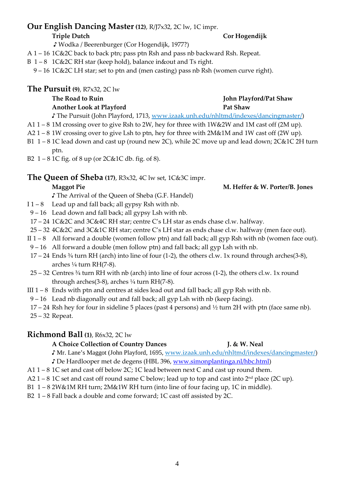# **Our English Dancing Master (12)**, R/J7x32, 2C lw, 1C impr.

## **Triple Dutch Cor Hogendijk**

♪ Wodka / Beerenburger (Cor Hogendijk, 1977?)

- A 1 16 1C&2C back to back ptn; pass ptn Rsh and pass nb backward Rsh. Repeat.
- B 1 8 1C&2C RH star (keep hold), balance in&out and Ts right.

9 – 16 1C&2C LH star; set to ptn and (men casting) pass nb Rsh (women curve right).

**The Pursuit (9)**, R7x32, 2C lw

### The Road to Ruin **Islam Shaw** *John Playford/Pat Shaw John Playford/Pat Shaw* Another Look at Playford **Pat Shaw Pat Shaw**

♪ The Pursuit (John Playford, 1713, www.izaak.unh.edu/nhltmd/indexes/dancingmaster/)

- A1 1 8 1M crossing over to give Rsh to 2W, hey for three with 1W&2W and 1M cast off (2M up).
- A2 1 8 1W crossing over to give Lsh to ptn, hey for three with 2M&1M and 1W cast off (2W up).
- B1 1 8 1C lead down and cast up (round new 2C), while 2C move up and lead down; 2C&1C 2H turn ptn.
- B2  $1 8$  1C fig. of  $8$  up (or  $2C&1C$  db. fig. of  $8$ ).

# **The Queen of Sheba (17)**, R3x32, 4C lw set, 1C&3C impr.

# **Maggot Pie** M. Heffer & W. Porter/B. Jones

♪ The Arrival of the Queen of Sheba (G.F. Handel)

- I  $1-8$  Lead up and fall back; all gypsy Rsh with nb.
- 9 16 Lead down and fall back; all gypsy Lsh with nb.
- 17 24 1C&2C and 3C&4C RH star; centre C's LH star as ends chase cl.w. halfway.
- 25 32 4C&2C and 3C&1C RH star; centre C's LH star as ends chase cl.w. halfway (men face out).
- II 1 8 All forward a double (women follow ptn) and fall back; all gyp Rsh with nb (women face out).
- 9 16 All forward a double (men follow ptn) and fall back; all gyp Lsh with nb.
- 17 24 Ends ¾ turn RH (arch) into line of four (1-2), the others cl.w. 1x round through arches(3-8), arches  $\frac{1}{4}$  turn RH(7-8).
- 25 32 Centres ¾ turn RH with nb (arch) into line of four across (1-2), the others cl.w. 1x round through arches(3-8), arches 1/4 turn RH(7-8).
- III  $1 8$  Ends with ptn and centres at sides lead out and fall back; all gyp Rsh with nb.
- 9 16 Lead nb diagonally out and fall back; all gyp Lsh with nb (keep facing).
- 17 24 Rsh hey for four in sideline 5 places (past 4 persons) and ½ turn 2H with ptn (face same nb).
- 25 32 Repeat.

# **Richmond Ball (1)**, R6x32, 2C lw

# **A Choice Collection of Country Dances J. & W. Neal**

♪ Mr. Lane's Maggot (John Playford, 1695, www.izaak.unh.edu/nhltmd/indexes/dancingmaster/)

- ♪ De Hardlooper met de degens (HBL 396, www.simonplantinga.nl/hbc.html)
- A1 1 8 1C set and cast off below 2C; 1C lead between next C and cast up round them.
- A2 1 8 1C set and cast off round same C below; lead up to top and cast into 2nd place (2C up).
- B1 1 8 2W&1M RH turn; 2M&1W RH turn (into line of four facing up, 1C in middle).
- B2 1 8 Fall back a double and come forward; 1C cast off assisted by 2C.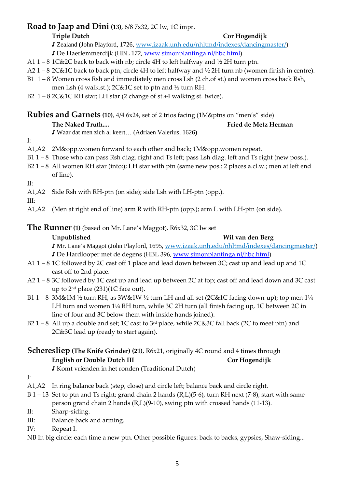# **Road to Jaap and Dini (13)**, 6/8 7x32, 2C lw, 1C impr.

## **Triple Dutch Cor Hogendijk**

♪ Zealand (John Playford, 1726, www.izaak.unh.edu/nhltmd/indexes/dancingmaster/)

♪ De Haerlemmerdijk (HBL 172, www.simonplantinga.nl/hbc.html)

- A1 1 8 1C&2C back to back with nb; circle 4H to left halfway and  $\frac{1}{2}$  2H turn ptn.
- A2 1 8 2C&1C back to back ptn; circle 4H to left halfway and ½ 2H turn nb (women finish in centre).
- B1 1 8 Women cross Rsh and immediately men cross Lsh (2 ch.of st.) and women cross back Rsh, men Lsh (4 walk.st.); 2C&1C set to ptn and ½ turn RH.
- B2  $1 82C & 1C RH$  star; LH star (2 change of st.+4 walking st. twice).

**Rubies and Garnets (10)**, 4/4 6x24, set of 2 trios facing (1M&ptns on "men's" side)

# The Naked Truth.... **Fixable 1 and Truth...** Fried de Metz Herman

- ♪ Waar dat men zich al keert… (Adriaen Valerius, 1626)
- I:
- A1,A2 2M&opp.women forward to each other and back; 1M&opp.women repeat.
- B1 1 8 Those who can pass Rsh diag. right and Ts left; pass Lsh diag. left and Ts right (new poss.).
- B2 1 8 All women RH star (into:); LH star with ptn (same new pos.: 2 places a.cl.w.; men at left end of line).
- II:
- A1,A2 Side Rsh with RH-ptn (on side); side Lsh with LH-ptn (opp.).
- III:
- A1,A2 (Men at right end of line) arm R with RH-ptn (opp.); arm L with LH-ptn (on side).

## **The Runner** (1) (based on Mr. Lane's Maggot), R6x32, 3C lw set

## **Unpublished Wil van den Berg**

♪ Mr. Lane's Maggot (John Playford, 1695, www.izaak.unh.edu/nhltmd/indexes/dancingmaster/) ♪ De Hardlooper met de degens (HBL 396, www.simonplantinga.nl/hbc.html)

- A1 1 8 1C followed by 2C cast off 1 place and lead down between 3C; cast up and lead up and 1C cast off to 2nd place.
- A2 1 8 3C followed by 1C cast up and lead up between 2C at top; cast off and lead down and 3C cast up to  $2<sup>nd</sup>$  place  $(231)(1C)$  face out).
- B1 1 8 3M&1M ½ turn RH, as 3W&1W ½ turn LH and all set (2C&1C facing down-up); top men 1¼ LH turn and women 1¼ RH turn, while 3C 2H turn (all finish facing up, 1C between 2C in line of four and 3C below them with inside hands joined).
- B2 1 8 All up a double and set; 1C cast to  $3<sup>rd</sup>$  place, while 2C&3C fall back (2C to meet ptn) and 2C&3C lead up (ready to start again).

# **Scheresliep (The Knife Grinder) (21)**, R6x21, originally 4C round and 4 times through **English or Double Dutch III** Cor Hogendijk

♪ Komt vrienden in het ronden (Traditional Dutch)

- I:
- A1,A2 In ring balance back (step, close) and circle left; balance back and circle right.
- B 1 13 Set to ptn and Ts right; grand chain 2 hands (R,L)(5-6), turn RH next (7-8), start with same person grand chain 2 hands (R,L)(9-10), swing ptn with crossed hands (11-13).
- II: Sharp-siding.
- III: Balance back and arming.
- IV: Repeat I.

NB In big circle: each time a new ptn. Other possible figures: back to backs, gypsies, Shaw-siding...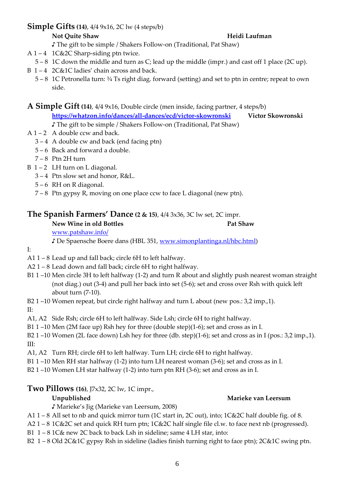# **Simple Gifts (14)**, 4/4 9x16, 2C lw (4 steps/b)

## **Not Quite Shaw Heidi Laufman Heidi Laufman**

♪ The gift to be simple / Shakers Follow-on (Traditional, Pat Shaw)

- A 1 4 1C&2C Sharp-siding ptn twice.
- 5 8 1C down the middle and turn as C; lead up the middle (impr.) and cast off 1 place (2C up).
- B 1-4 2C&1C ladies' chain across and back.
	- 5 8 1C Petronella turn: ¾ Ts right diag. forward (setting) and set to ptn in centre; repeat to own side.

**A Simple Gift (14)**, 4/4 9x16, Double circle (men inside, facing partner, 4 steps/b)

**https://whatzon.info/dances/all-dances/ecd/victor-skowronski Victor Skowronski**  ♪ The gift to be simple / Shakers Follow-on (Traditional, Pat Shaw)

- A  $1 2$  A double ccw and back.
	- $3 4$  A double cw and back (end facing ptn)
	- 5 6 Back and forward a double.
	- $7 8$  Ptn 2H turn
- $B$  1 2 LH turn on L diagonal.
	- 3 4 Ptn slow set and honor, R&L.
	- $5 6$  RH on R diagonal.
	- 7 8 Ptn gypsy R, moving on one place ccw to face L diagonal (new ptn).

# **The Spanish Farmers' Dance (2 & 15)**, 4/4 3x36, 3C lw set, 2C impr.

**New Wine in old Bottles Pat Shaw** 

www.patshaw.info/

♪ De Spaensche Boere dans (HBL 351, www.simonplantinga.nl/hbc.html)

## I:

- A1 1 8 Lead up and fall back; circle 6H to left halfway.
- A2 1 8 Lead down and fall back; circle 6H to right halfway.
- B1 1 –10 Men circle 3H to left halfway (1-2) and turn R about and slightly push nearest woman straight (not diag.) out (3-4) and pull her back into set (5-6); set and cross over Rsh with quick left about turn (7-10).

B2 1 –10 Women repeat, but circle right halfway and turn L about (new pos.: 3,2 imp.,1).

## II:

A1, A2 Side Rsh; circle 6H to left halfway. Side Lsh; circle 6H to right halfway.

B1 1 –10 Men (2M face up) Rsh hey for three (double step)(1-6); set and cross as in I.

B2 1 –10 Women (2L face down) Lsh hey for three (db. step)(1-6); set and cross as in I (pos.: 3,2 imp.,1). III:

A1, A2 Turn RH; circle 6H to left halfway. Turn LH; circle 6H to right halfway.

B1 1 –10 Men RH star halfway (1-2) into turn LH nearest woman (3-6); set and cross as in I.

B2 1 –10 Women LH star halfway (1-2) into turn ptn RH (3-6); set and cross as in I.

# **Two Pillows (16)**, J7x32, 2C lw, 1C impr.,

# **Unpublished Marieke van Leersum**

♪ Marieke's Jig (Marieke van Leersum, 2008)

- A1 1 8 All set to nb and quick mirror turn (1C start in, 2C out), into; 1C&2C half double fig. of 8.
- A2 1 8 1C&2C set and quick RH turn ptn; 1C&2C half single file cl.w. to face next nb (progressed).
- B1 1 8 1C& new 2C back to back Lsh in sideline; same 4 LH star, into:
- B2 1 8 Old 2C&1C gypsy Rsh in sideline (ladies finish turning right to face ptn); 2C&1C swing ptn.